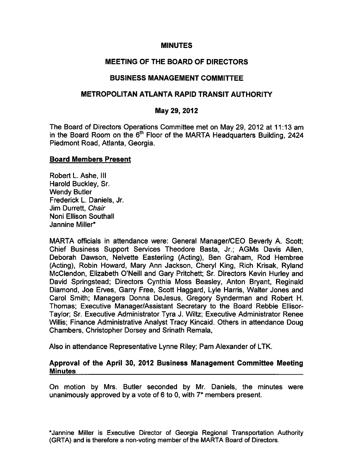## MINUTES

# MEETING OF THE BOARD OF DIRECTORS

# BUSINESS MANAGEMENT COMMITTEE

# METROPOLITAN ATLANTA RAPID TRANSIT AUTHORITY

## May 29, 2012

The Board of Directors Operations Committee met on May 29, 2012 at 11:13 am in the Board Room on the  $6<sup>th</sup>$  Floor of the MARTA Headquarters Building, 2424 Piedmont Road, Atlanta, Georgia.

#### Board Members Present

Robert L. Ashe, III Harold Buckley, Sr. Wendy Butler Frederick L. Daniels, Jr. Jim Durrett, Chair Noni Ellison Southall Jannine Miller\*

MARTA officials in attendance were: General Manager/CEO Beverly A. Scott; Chief Business Support Services Theodore Basta, Jr.; AGMs Davis Allen, Deborah Dawson, Nelvette Easterling (Acting), Ben Graham, Rod Hembree (Acting), Robin Howard, Mary Ann Jackson, Cheryl King, Rich Krisak, Ryland McClendon, Elizabeth O'Neill and Gary Pritchett; Sr. Directors Kevin Hurley and David Springstead; Directors Cynthia Moss Beasley, Anton Bryant, Reginald Diamond, Joe Erves, Garry Free, Scott Haggard, Lyle Harris, Walter Jones and Carol Smith; Managers Donna DeJesus, Gregory Synderman and Robert H. Thomas; Executive Manager/Assistant Secretary to the Board Rebbie Ellisor-Taylor; Sr. Executive Administrator Tyra J. Wiltz; Executive Administrator Renee Willis; Finance Administrative Analyst Tracy Kincaid. Others in attendance Doug Chambers, Christopher Dorsey and Srinath Remala,

Also in attendance Representative Lynne Riley; Pam Alexander of LTK.

#### Approval of the April 30, 2012 Business Management Committee Meeting **Minutes**

On motion by Mrs. Butler seconded by Mr. Daniels, the minutes were unanimously approved by a vote of 6 to 0, with  $7^*$  members present.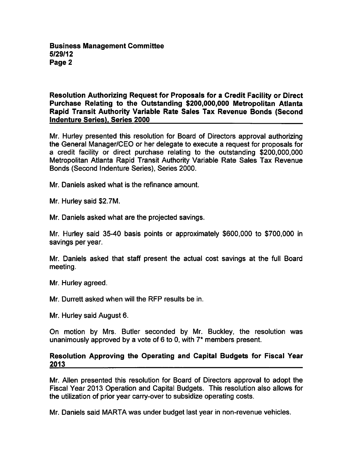Resolution Authorizing Request for Proposals for a Credit Facility or Direct Purchase Relating to the Outstanding \$200,000,000 Metropolitan Atlanta Rapid Transit Authority Variable Rate Sales Tax Revenue Bonds (Second Indenture Series). Series 2000

Mr. Hurley presented this resolution for Board of Directors approval authorizing the General Manager/CEO or her delegate to execute a request for proposals for a credit facility or direct purchase relating to the outstanding \$200,000,000 Metropolitan Atlanta Rapid Transit Authority Variable Rate Sales Tax Revenue Bonds (Second Indenture Series), Series 2000.

Mr. Daniels asked what is the refinance amount.

Mr. Hurley said \$2.7M.

Mr. Daniels asked what are the projected savings.

Mr. Hurley said 35-40 basis points or approximately \$600,000 to \$700,000 in savings per year.

Mr. Daniels asked that staff present the actual cost savings at the full Board meeting.

Mr. Hurley agreed.

Mr. Durrett asked when will the RFP results be in.

Mr. Hurley said August 6.

On motion by Mrs. Butler seconded by Mr. Buckley, the resolution was unanimously approved by a vote of 6 to 0, with  $7*$  members present.

# Resolution Approving the Operating and Capital Budgets for Fiscal Year 2013

Mr. Allen presented this resolution for Board of Directors approval to adopt the Fiscal Year 2013 Operation and Capital Budgets. This resolution also allows for the utilization of prior year carry-over to subsidize operating costs.

Mr. Daniels said MARTA was under budget last year in non-revenue vehicles.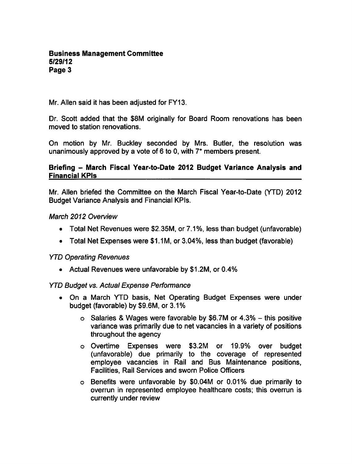Mr. Allen said it has been adjusted for FY13.

Dr. Scott added that the \$8M originally for Board Room renovations has been moved to station renovations.

On motion by Mr. Buckley seconded by Mrs. Butler, the resolution was unanimously approved by a vote of 6 to 0, with  $7^*$  members present.

## Briefing - March Fiscal Year-to-Date 2012 Budget Variance Analysis and Financial KPIs

Mr. Allen briefed the Committee on the March Fiscal Year-to-Date (YTD) 2012 Budget Variance Analysis and Financial KPIs.

### March 2012 Overview

- Total Net Revenues were \$2.35M, or 7.1%, less than budget (unfavorable)
- Total Net Expenses were \$1.1M, or 3.04%, less than budget (favorable)

# YTD Operating Revenues

Actual Revenues were unfavorable by \$1.2M, or 0.4%

# YTD Budget vs. Actual Expense Performance

- On a March YTD basis, Net Operating Budget Expenses were under budget (favorable) by \$9.6M, or 3.1%
	- $\circ$  Salaries & Wages were favorable by \$6.7M or 4.3% this positive variance was primarily due to net vacancies in a variety of positions throughout the agency
	- Overtime Expenses were \$3.2M or 19.9% over budget (unfavorable) due primarily to the coverage of represented employee vacancies in Rail and Bus Maintenance positions, Facilities, Rail Services and sworn Police Officers
	- Benefits were unfavorable by \$0.04M or 0.01% due primarily to overrun in represented employee healthcare costs; this overrun is currently under review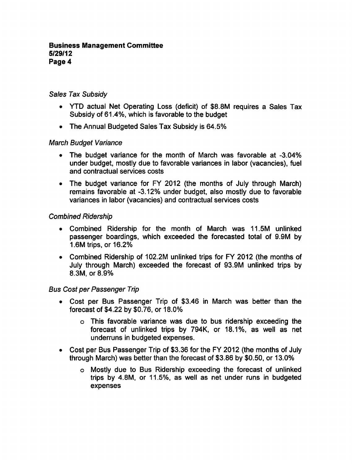# Sales Tax Subsidy

- YTD actual Net Operating Loss (deficit) of \$8.8M requires a Sales Tax Subsidy of 61.4%, which is favorable to the budget
- The Annual Budgeted Sales Tax Subsidy is 64.5%

# March Budget Variance

- The budget variance for the month of March was favorable at -3.04% under budget, mostly due to favorable variances in labor (vacancies), fuel and contractual services costs
- The budget variance for FY 2012 (the months of July through March) remains favorable at -3.12% under budget, also mostly due to favorable variances in labor (vacancies) and contractual services costs

# Combined Ridership

- Combined Ridership for the month of March was 11.5M unlinked passenger boardings, which exceeded the forecasted total of 9.9M by 1.6M trips, or 16.2%
- Combined Ridership of 102.2M unlinked trips for FY 2012 (the months of July through March) exceeded the forecast of 93.9M unlinked trips by 8.3M, or 8.9%

# Bus Cost per Passenger Trip

- Cost per Bus Passenger Trip of \$3.46 in March was better than the forecast of \$4.22 by \$0.76, or 18.0%
	- This favorable variance was due to bus ridership exceeding the forecast of unlinked trips by 794K, or 18.1%, as well as net underruns in budgeted expenses.
- Cost per Bus Passenger Trip of \$3.36 for the FY 2012 (the months of July through March) was better than the forecast of \$3.86 by \$0.50, or 13.0%
	- Mostly due to Bus Ridership exceeding the forecast of unlinked trips by 4.8M, or 11.5%, as well as net under runs in budgeted expenses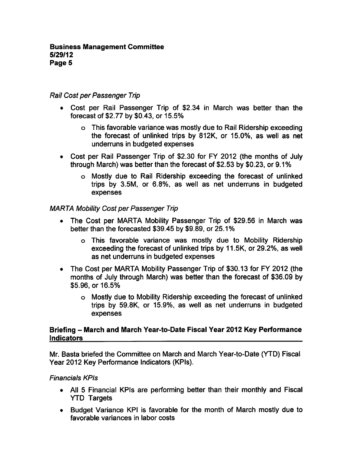## Rail Cost per Passenger Trip

- Cost per Rail Passenger Trip of \$2.34 in March was better than the forecast of \$2.77 by \$0.43, or 15.5%
	- This favorable variance was mostly due to Rail Ridership exceeding the forecast of unlinked trips by 812K, or 15.0%, as well as net underruns in budgeted expenses
- Cost per Rail Passenger Trip of \$2.30 for FY 2012 (the months of July through March) was better than the forecast of \$2.53 by \$0.23, or 9.1%
	- Mostly due to Rail Ridership exceeding the forecast of unlinked trips by 3.5M, or 6.8%, as well as net underruns in budgeted expenses

### MARTA Mobility Cost per Passenger Trip

- $\bullet$ The Cost per MARTA Mobility Passenger Trip of \$29.56 in March was better than the forecasted \$39.45 by \$9.89, or 25.1%
	- This favorable variance was mostly due to Mobility Ridership exceeding the forecast of unlinked trips by 11.5K, or 29.2%, as well as net underruns in budgeted expenses
- The Cost per MARTA Mobility Passenger Trip of \$30.13 for FY 2012 (the months of July through March) was better than the forecast of \$36.09 by \$5.96, or 16.5%
	- Mostly due to Mobility Ridership exceeding the forecast of unlinked trips by 59.8K, or 15.9%, as well as net underruns in budgeted expenses

# Briefing - March and March Year-to-Date Fiscal Year 2012 Key Performance Indicators

Mr. Basta briefed the Committee on March and March Year-to-Date (YTD) Fiscal Year 2012 Key Performance Indicators (KPIs).

#### Financials KPIs

- All 5 Financial KPIs are performing better than their monthly and Fiscal YTD Targets
- Budget Variance KPI is favorable for the month of March mostly due to favorable variances in labor costs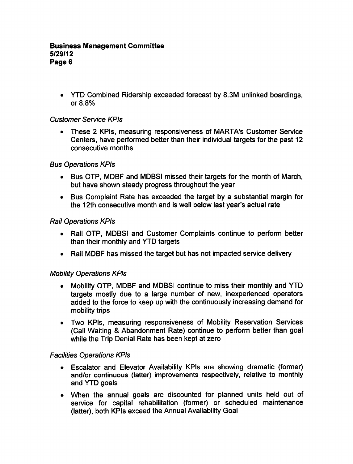YTD Combined Ridership exceeded forecast by 8.3M unlinked boardings, or 8.8%

# Customer Service KPIs

These 2 KPIs, measuring responsiveness of MARTA's Customer Service Centers, have performed better than their individual targets for the past 12 consecutive months

# Bus Operations KPIs

- Bus OTP, MDBF and MDBSI missed their targets for the month of March, but have shown steady progress throughout the year
- Bus Complaint Rate has exceeded the target by a substantial margin for the 12th consecutive month and is well below last year's actual rate

# Rail Operations KPIs

- Rail OTP, MDBSI and Customer Complaints continue to perform better than their monthly and YTD targets
- Rail MDBF has missed the target but has not impacted service delivery

# Mobility Operations KPIs

- Mobility OTP, MDBF and MDBSI continue to miss their monthly and YTD targets mostly due to a large number of new, inexperienced operators added to the force to keep up with the continuously increasing demand for mobility trips
- Two KPIs, measuring responsiveness of Mobility Reservation Services (Call Waiting Abandonment Rate) continue to perform better than goal while the Trip Denial Rate has been kept at zero

# Facilities Operations KPIs

- Escalator and Elevator Availability KPIs are showing dramatic (former) and/or continuous (latter) improvements respectively, relative to monthly and YTD goals
- When the annual goals are discounted for planned units held out of service for capital rehabilitation (former) or scheduled maintenance (latter), both KPIs exceed the Annual Availability Goal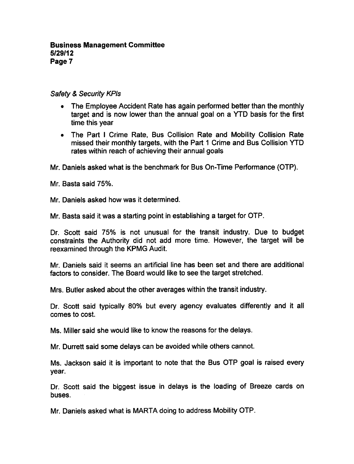## Safety & Security KPIs

- The Employee Accident Rate has again performed better than the monthly target and is now lower than the annual goal on a YTD basis for the first time this year
- The Part I Crime Rate, Bus Collision Rate and Mobility Collision Rate missed their monthly targets, with the Part 1 Crime and Bus Collision YTD rates within reach of achieving their annual goals

Mr. Daniels asked what is the benchmark for Bus On-Time Performance (OTP).

Mr. Basta said 75%.

Mr. Daniels asked how was it determined.

Mr. Basta said it was a starting point in establishing a target for OTP.

Dr. Scott said 75% is not unusual for the transit industry. Due to budget constraints the Authority did not add more time. However, the target will be reexamined through the KPMG Audit.

Mr. Daniels said it seems an artificial line has been set and there are additional factors to consider. The Board would like to see the target stretched.

Mrs. Butler asked about the other averages within the transit industry.

Dr. Scott said typically 80% but every agency evaluates differently and it all comes to cost.

Ms. Miller said she would like to know the reasons for the delays.

Mr. Durrett said some delays can be avoided while others cannot.

Ms. Jackson said it is important to note that the Bus OTP goal is raised every year.

Dr. Scott said the biggest issue in delays is the loading of Breeze cards on buses.

Mr. Daniels asked what is MARTA doing to address Mobility OTP.